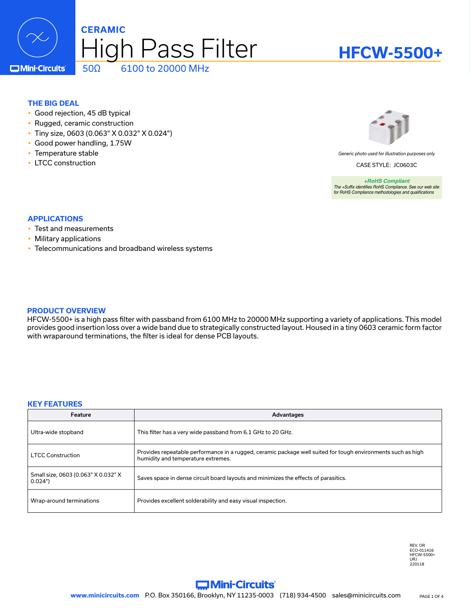

## **HFCW-5500+**

**THE BIG DEAL**

- Good rejection, 45 dB typical
- Rugged, ceramic construction
- y Tiny size, 0603 (0.063" X 0.032" X 0.024")
- y Good power handling, 1.75W
- Temperature stable
- LTCC construction



*Generic photo used for illustration purposes only*

CASE STYLE: JC0603C

*+RoHS Compliant The +Suffix identifies RoHS Compliance. See our web site for RoHS Compliance methodologies and qualifications*

### **APPLICATIONS**

- Test and measurements
- Military applications
- Telecommunications and broadband wireless systems

### **PRODUCT OVERVIEW**

HFCW-5500+ is a high pass filter with passband from 6100 MHz to 20000 MHz supporting a variety of applications. This model provides good insertion loss over a wide band due to strategically constructed layout. Housed in a tiny 0603 ceramic form factor with wraparound terminations, the filter is ideal for dense PCB layouts.

#### **KEY FEATURES**

| Feature                                       | Advantages                                                                                                                                         |  |  |
|-----------------------------------------------|----------------------------------------------------------------------------------------------------------------------------------------------------|--|--|
| Ultra-wide stopband                           | This filter has a very wide passband from 6.1 GHz to 20 GHz.                                                                                       |  |  |
| <b>LTCC Construction</b>                      | Provides repeatable performance in a rugged, ceramic package well suited for tough environments such as high<br>humidity and temperature extremes. |  |  |
| Small size, 0603 (0.063" X 0.032" X<br>0.024" | Saves space in dense circuit board layouts and minimizes the effects of parasitics.                                                                |  |  |
| Wrap-around terminations                      | Provides excellent solderability and easy visual inspection.                                                                                       |  |  |

REV. OR ECO-011416 HFCW-5500+ URJ 220118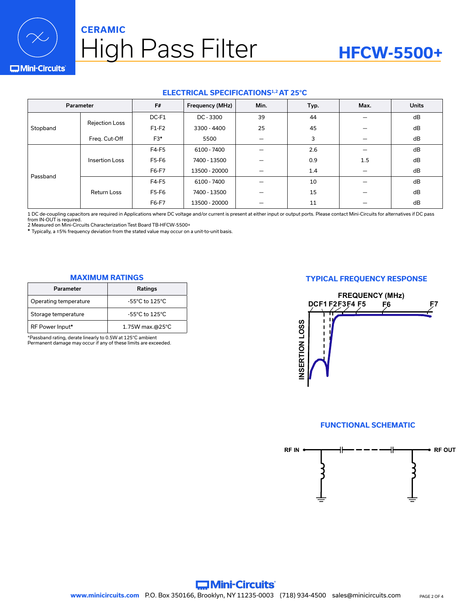

# High Pass Filter **CERAMIC**

# **HFCW-5500+**

## **C**Mini-Circuits

### **ELECTRICAL SPECIFICATIONS1,2 AT 25°C**

|          | Parameter             | F#      | Frequency (MHz) | Min. | Typ. | Max. | <b>Units</b> |
|----------|-----------------------|---------|-----------------|------|------|------|--------------|
| Stopband | <b>Rejection Loss</b> | DC-F1   | DC - 3300       | 39   | 44   |      | dB           |
|          |                       | $F1-F2$ | 3300 - 4400     | 25   | 45   |      | dB           |
|          | Freq. Cut-Off         | F3*     | 5500            |      | 3    |      | dB           |
| Passband | <b>Insertion Loss</b> | F4-F5   | 6100 - 7400     |      | 2.6  |      | dB           |
|          |                       | F5-F6   | 7400 - 13500    |      | 0.9  | 1.5  | dB           |
|          |                       | F6-F7   | 13500 - 20000   |      | 1.4  |      | dB           |
|          | <b>Return Loss</b>    | F4-F5   | 6100 - 7400     |      | 10   |      | dB           |
|          |                       | F5-F6   | 7400 - 13500    |      | 15   |      | dB           |
|          |                       | F6-F7   | 13500 - 20000   |      | 11   |      | dB           |

1 DC de-coupling capacitors are required in Applications where DC voltage and/or current is present at either input or output ports. Please contact Mini-Circuits for alternatives if DC pass from IN-OUT is required.

2 Measured on Mini-Circuits Characterization Test Board TB-HFCW-5500+

**\*** Typically, a ±5% frequency deviation from the stated value may occur on a unit-to-unit basis.

| Parameter             | <b>Ratings</b>                       |
|-----------------------|--------------------------------------|
| Operating temperature | $-55^{\circ}$ C to 125 $^{\circ}$ C  |
| Storage temperature   | $-55^{\circ}$ C to 125 $^{\circ}$ C. |
| RF Power Input*       | 1.75W max.@25°C                      |

\*Passband rating, derate linearly to 0.5W at 125°C ambient Permanent damage may occur if any of these limits are exceeded.

## **MAXIMUM RATINGS TYPICAL FREQUENCY RESPONSE**



#### **FUNCTIONAL SCHEMATIC**

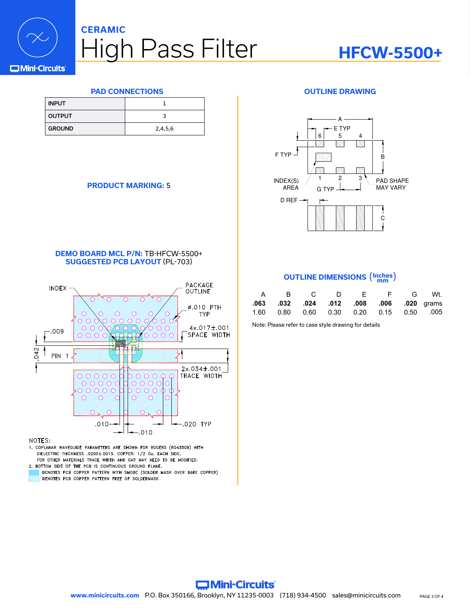

# High Pass Filter **CERAMIC**

## **HFCW-5500+**

**C**Mini-Circuits

| <b>INPUT</b>  |         |
|---------------|---------|
| <b>OUTPUT</b> |         |
| <b>GROUND</b> | 2,4,5,6 |

### **PRODUCT MARKING:** 5



**DEMO BOARD MCL P/N:** TB-HFCW-5500+ **SUGGESTED PCB LAYOUT** (PL-703)



NOTES:

- 1. COPLANAR WAVEGUIDE PARAMETERS ARE SHOWN FOR ROGERS (RO4350B) WITH DIELECTRIC THICKNESS .0200±.0015. COPPER: 1/2 Oz. EACH SIDE. FOR OTHER MATERIALS TRACE WIDTH AND GAP MAY NEED TO BE MODIFIED.
- 2. BOTTOM SIDE OF THE PCB IS CONTINUOUS GROUND PLANE.
- DENOTES PCB COPPER PATTERN WITH SMOBC (SOLDER MASK OVER BARE COPPER) DENOTES PCB COPPER PATTERN FREE OF SOLDERMASK

## **PAD CONNECTIONS OUTLINE DRAWING**



## **OUTLINE DIMENSIONS** (**Inches mm** )

|  |  |  | A B C D E F G Wt.                              |  |
|--|--|--|------------------------------------------------|--|
|  |  |  | .063 .032 .024 .012 .008 .006 .020 grams       |  |
|  |  |  | 1.60  0.80  0.60  0.30  0.20  0.15  0.50  0.05 |  |

Note: Please refer to case style drawing for details